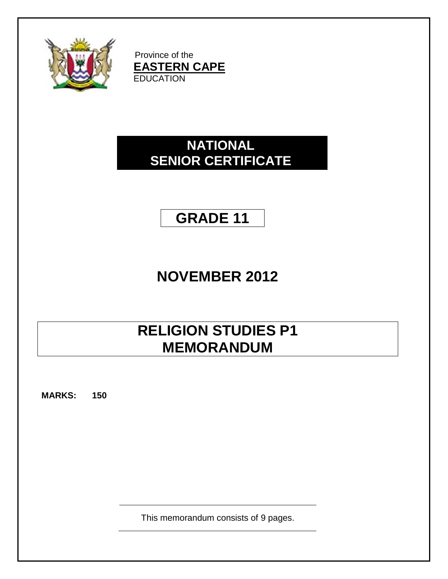

Province of the **EASTERN CAPE EDUCATION** 

## **NATIONAL SENIOR CERTIFICATE**

# **GRADE 11**

## **NOVEMBER 2012**

## **RELIGION STUDIES P1 MEMORANDUM**

**MARKS: 150**

This memorandum consists of 9 pages.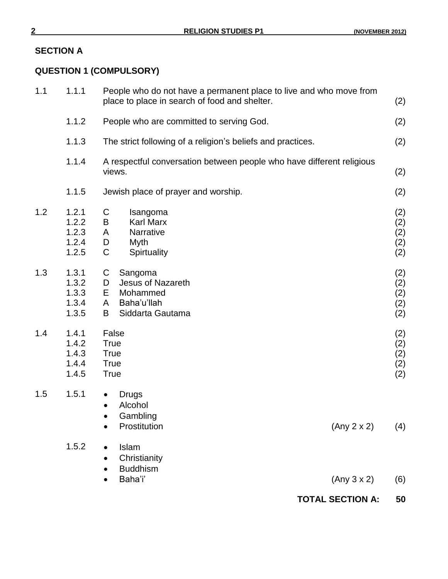## **SECTION A**

## **QUESTION 1 (COMPULSORY)**

|     |                                           | <b>TOTAL SECTION A:</b>                                                                                             | 50                              |
|-----|-------------------------------------------|---------------------------------------------------------------------------------------------------------------------|---------------------------------|
|     | 1.5.2                                     | Islam<br>$\bullet$<br>Christianity<br><b>Buddhism</b><br>Baha'i'<br>(Any 3 x 2)                                     | (6)                             |
| 1.5 | 1.5.1                                     | <b>Drugs</b><br>$\bullet$<br>Alcohol<br>$\bullet$<br>Gambling<br>Prostitution<br>(Any 2 x 2)                        | (4)                             |
| 1.4 | 1.4.1<br>1.4.2<br>1.4.3<br>1.4.4<br>1.4.5 | False<br><b>True</b><br><b>True</b><br><b>True</b><br><b>True</b>                                                   | (2)<br>(2)<br>(2)<br>(2)<br>(2) |
| 1.3 | 1.3.1<br>1.3.2<br>1.3.3<br>1.3.4<br>1.3.5 | C<br>Sangoma<br><b>Jesus of Nazareth</b><br>D<br>E<br>Mohammed<br>Baha'u'llah<br>A<br>B<br>Siddarta Gautama         | (2)<br>(2)<br>(2)<br>(2)<br>(2) |
| 1.2 | 1.2.1<br>1.2.2<br>1.2.3<br>1.2.4<br>1.2.5 | C<br>Isangoma<br><b>Karl Marx</b><br>B<br>Narrative<br>A<br>D<br>Myth<br>C<br>Spirtuality                           | (2)<br>(2)<br>(2)<br>(2)<br>(2) |
|     | 1.1.5                                     | Jewish place of prayer and worship.                                                                                 | (2)                             |
|     | 1.1.4                                     | A respectful conversation between people who have different religious<br>views.                                     | (2)                             |
|     | 1.1.3                                     | The strict following of a religion's beliefs and practices.                                                         | (2)                             |
|     | 1.1.2                                     | People who are committed to serving God.                                                                            | (2)                             |
| 1.1 | 1.1.1                                     | People who do not have a permanent place to live and who move from<br>place to place in search of food and shelter. | (2)                             |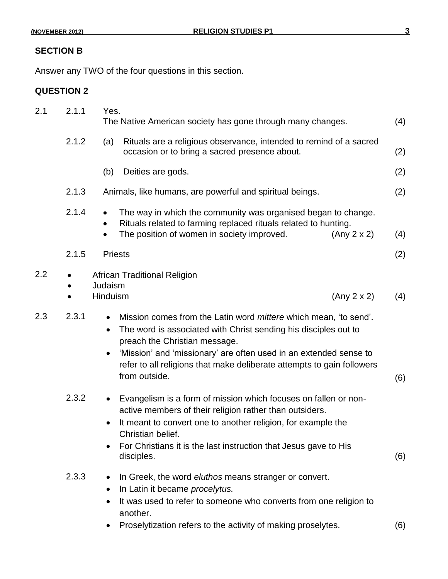## **SECTION B**

Answer any TWO of the four questions in this section.

### **QUESTION 2**

| 2.1     | 2.1.1 | Yes.<br>The Native American society has gone through many changes.                                                                                                                                                                                                                                                                                                                 | (4) |
|---------|-------|------------------------------------------------------------------------------------------------------------------------------------------------------------------------------------------------------------------------------------------------------------------------------------------------------------------------------------------------------------------------------------|-----|
|         | 2.1.2 | Rituals are a religious observance, intended to remind of a sacred<br>(a)<br>occasion or to bring a sacred presence about.                                                                                                                                                                                                                                                         | (2) |
|         |       | Deities are gods.<br>(b)                                                                                                                                                                                                                                                                                                                                                           | (2) |
|         | 2.1.3 | Animals, like humans, are powerful and spiritual beings.                                                                                                                                                                                                                                                                                                                           | (2) |
|         | 2.1.4 | The way in which the community was organised began to change.<br>$\bullet$<br>Rituals related to farming replaced rituals related to hunting.<br>The position of women in society improved.<br>(Any 2 x 2)<br>$\bullet$                                                                                                                                                            | (4) |
|         | 2.1.5 | <b>Priests</b>                                                                                                                                                                                                                                                                                                                                                                     | (2) |
| $2.2\,$ |       | <b>African Traditional Religion</b><br>Judaism<br>Hinduism<br>(Any 2 x 2)                                                                                                                                                                                                                                                                                                          | (4) |
| 2.3     | 2.3.1 | Mission comes from the Latin word <i>mittere</i> which mean, 'to send'.<br>$\bullet$<br>The word is associated with Christ sending his disciples out to<br>$\bullet$<br>preach the Christian message.<br>'Mission' and 'missionary' are often used in an extended sense to<br>$\bullet$<br>refer to all religions that make deliberate attempts to gain followers<br>from outside. | (6) |
|         | 2.3.2 | Evangelism is a form of mission which focuses on fallen or non-<br>$\bullet$<br>active members of their religion rather than outsiders.<br>It meant to convert one to another religion, for example the<br>$\bullet$<br>Christian belief.<br>For Christians it is the last instruction that Jesus gave to His<br>disciples.                                                        | (6) |
|         | 2.3.3 | In Greek, the word eluthos means stranger or convert.<br>$\bullet$<br>In Latin it became procelytus.<br>$\bullet$<br>It was used to refer to someone who converts from one religion to<br>$\bullet$<br>another.<br>Proselytization refers to the activity of making proselytes.                                                                                                    | (6) |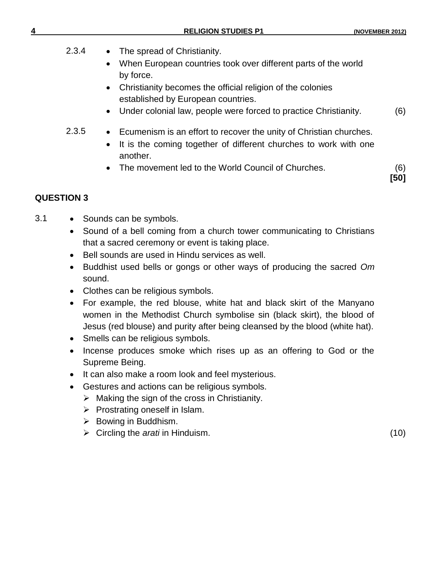| 4     | <b>RELIGION STUDIES P1</b>                                                                                                                                                                                                                                                         | (NOVEMBER 2012) |
|-------|------------------------------------------------------------------------------------------------------------------------------------------------------------------------------------------------------------------------------------------------------------------------------------|-----------------|
| 2.3.4 | The spread of Christianity.<br>When European countries took over different parts of the world<br>by force.<br>Christianity becomes the official religion of the colonies<br>established by European countries.<br>Under colonial law, people were forced to practice Christianity. | (6)             |
| 2.3.5 | • Ecumenism is an effort to recover the unity of Christian churches.<br>It is the coming together of different churches to work with one<br>another.<br>The movement led to the World Council of Churches.                                                                         | (6)<br>[50]     |

#### **QUESTION 3**

- 3.1 Sounds can be symbols.
	- Sound of a bell coming from a church tower communicating to Christians that a sacred ceremony or event is taking place.
	- Bell sounds are used in Hindu services as well.
	- Buddhist used bells or gongs or other ways of producing the sacred *Om* sound.
	- Clothes can be religious symbols.
	- For example, the red blouse, white hat and black skirt of the Manyano women in the Methodist Church symbolise sin (black skirt), the blood of Jesus (red blouse) and purity after being cleansed by the blood (white hat).
	- Smells can be religious symbols.
	- Incense produces smoke which rises up as an offering to God or the Supreme Being.
	- It can also make a room look and feel mysterious.
	- Gestures and actions can be religious symbols.
		- $\triangleright$  Making the sign of the cross in Christianity.
		- $\triangleright$  Prostrating oneself in Islam.
		- $\triangleright$  Bowing in Buddhism.
		- Circling the *arati* in Hinduism. (10)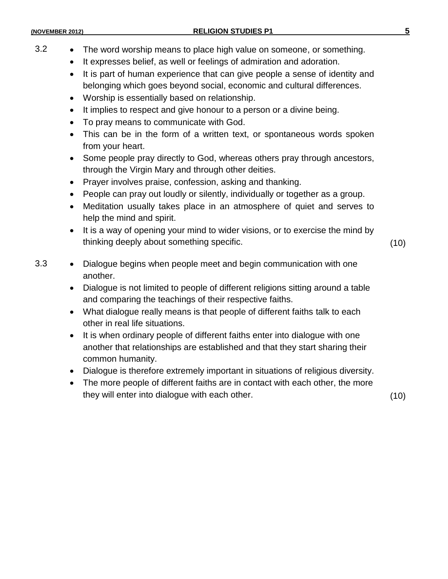- 3.2 The word worship means to place high value on someone, or something.
	- It expresses belief, as well or feelings of admiration and adoration.
	- It is part of human experience that can give people a sense of identity and belonging which goes beyond social, economic and cultural differences.
	- Worship is essentially based on relationship.
	- It implies to respect and give honour to a person or a divine being.
	- To pray means to communicate with God.
	- This can be in the form of a written text, or spontaneous words spoken from your heart.
	- Some people pray directly to God, whereas others pray through ancestors, through the Virgin Mary and through other deities.
	- Prayer involves praise, confession, asking and thanking.
	- People can pray out loudly or silently, individually or together as a group.
	- Meditation usually takes place in an atmosphere of quiet and serves to help the mind and spirit.
	- It is a way of opening your mind to wider visions, or to exercise the mind by thinking deeply about something specific. (10)
- 3.3 Dialogue begins when people meet and begin communication with one another.
	- Dialogue is not limited to people of different religions sitting around a table and comparing the teachings of their respective faiths.
	- What dialogue really means is that people of different faiths talk to each other in real life situations.
	- It is when ordinary people of different faiths enter into dialogue with one another that relationships are established and that they start sharing their common humanity.
	- Dialogue is therefore extremely important in situations of religious diversity.
	- The more people of different faiths are in contact with each other, the more they will enter into dialogue with each other. (10)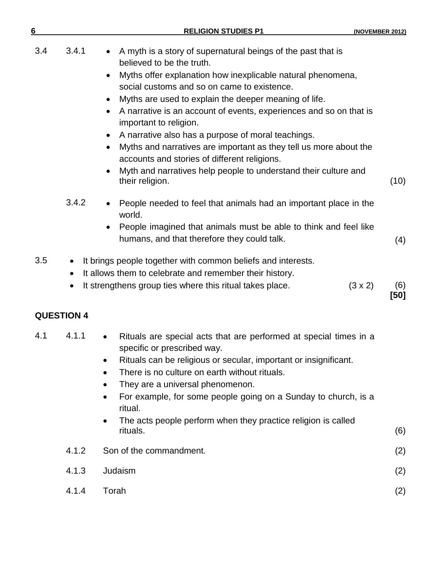| 6   |                                                                                                                                                            | <b>RELIGION STUDIES P1</b>                                                                                                                                                                                                                                                                                                                                      | (NOVEMBER 2012)               |
|-----|------------------------------------------------------------------------------------------------------------------------------------------------------------|-----------------------------------------------------------------------------------------------------------------------------------------------------------------------------------------------------------------------------------------------------------------------------------------------------------------------------------------------------------------|-------------------------------|
| 3.4 | 3.4.1<br>believed to be the truth.<br>$\bullet$<br>important to religion.                                                                                  | A myth is a story of supernatural beings of the past that is<br>Myths offer explanation how inexplicable natural phenomena,<br>social customs and so on came to existence.<br>Myths are used to explain the deeper meaning of life.<br>A narrative is an account of events, experiences and so on that is<br>A narrative also has a purpose of moral teachings. |                               |
|     | their religion.                                                                                                                                            | Myths and narratives are important as they tell us more about the<br>accounts and stories of different religions.<br>Myth and narratives help people to understand their culture and                                                                                                                                                                            | (10)                          |
|     | 3.4.2<br>world.                                                                                                                                            | People needed to feel that animals had an important place in the<br>People imagined that animals must be able to think and feel like<br>humans, and that therefore they could talk.                                                                                                                                                                             | (4)                           |
| 3.5 | $\bullet$<br>It allows them to celebrate and remember their history.<br>$\bullet$<br>It strengthens group ties where this ritual takes place.<br>$\bullet$ | It brings people together with common beliefs and interests.                                                                                                                                                                                                                                                                                                    | $(3 \times 2)$<br>(6)<br>[50] |
|     | <b>QUESTION 4</b>                                                                                                                                          |                                                                                                                                                                                                                                                                                                                                                                 |                               |
| 4.1 | 4.1.1<br>$\bullet$<br>specific or prescribed way.<br>٠                                                                                                     | Rituals are special acts that are performed at special times in a<br>Rituals can be religious or secular, important or insignificant.                                                                                                                                                                                                                           |                               |

- There is no culture on earth without rituals.
- They are a universal phenomenon.
- For example, for some people going on a Sunday to church, is a ritual.
- The acts people perform when they practice religion is called rituals. rituals. (6)
- 4.1.2 Son of the commandment. (2)

|   | 4.1.3 Judaism | (2)    |
|---|---------------|--------|
| . |               | $\sim$ |

4.1.4 Torah (2)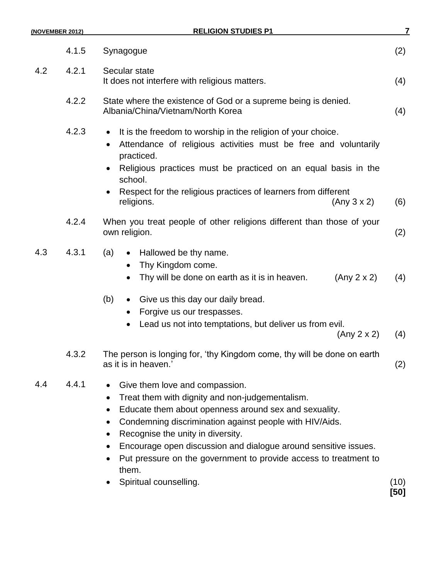| (NOVEMBER 2012) |       | <b>RELIGION STUDIES P1</b>                                                                                                                                                                                                                                                                                                                                                                                                        |      |
|-----------------|-------|-----------------------------------------------------------------------------------------------------------------------------------------------------------------------------------------------------------------------------------------------------------------------------------------------------------------------------------------------------------------------------------------------------------------------------------|------|
|                 | 4.1.5 | Synagogue                                                                                                                                                                                                                                                                                                                                                                                                                         | (2)  |
| 4.2             | 4.2.1 | Secular state<br>It does not interfere with religious matters.                                                                                                                                                                                                                                                                                                                                                                    | (4)  |
|                 | 4.2.2 | State where the existence of God or a supreme being is denied.<br>Albania/China/Vietnam/North Korea                                                                                                                                                                                                                                                                                                                               | (4)  |
|                 | 4.2.3 | It is the freedom to worship in the religion of your choice.<br>$\bullet$<br>Attendance of religious activities must be free and voluntarily<br>practiced.<br>Religious practices must be practiced on an equal basis in the<br>school.<br>Respect for the religious practices of learners from different<br>$\bullet$<br>religions.<br>(Any 3 x 2)                                                                               | (6)  |
|                 | 4.2.4 | When you treat people of other religions different than those of your<br>own religion.                                                                                                                                                                                                                                                                                                                                            | (2)  |
| 4.3             | 4.3.1 | (a)<br>Hallowed be thy name.<br>Thy Kingdom come.<br>Thy will be done on earth as it is in heaven.<br>(Any 2 x 2)                                                                                                                                                                                                                                                                                                                 | (4)  |
|                 |       | (b)<br>• Give us this day our daily bread.<br>Forgive us our trespasses.<br>Lead us not into temptations, but deliver us from evil.<br>(Any 2 x 2)                                                                                                                                                                                                                                                                                | (4)  |
|                 | 4.3.2 | The person is longing for, 'thy Kingdom come, thy will be done on earth<br>as it is in heaven.'                                                                                                                                                                                                                                                                                                                                   | (2)  |
| 4.4             | 4.4.1 | Give them love and compassion.<br>Treat them with dignity and non-judgementalism.<br>Educate them about openness around sex and sexuality.<br>Condemning discrimination against people with HIV/Aids.<br>$\bullet$<br>Recognise the unity in diversity.<br>Encourage open discussion and dialogue around sensitive issues.<br>Put pressure on the government to provide access to treatment to<br>them.<br>Spiritual counselling. | (10) |

**[50]**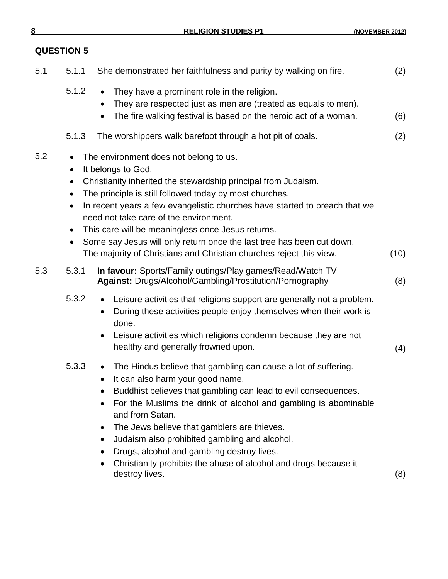## **QUESTION 5**

| 5.1 | 5.1.1                                            | She demonstrated her faithfulness and purity by walking on fire.                                                                                                                                                                                                                                                                                                                                                                                                                                                       | (2)  |
|-----|--------------------------------------------------|------------------------------------------------------------------------------------------------------------------------------------------------------------------------------------------------------------------------------------------------------------------------------------------------------------------------------------------------------------------------------------------------------------------------------------------------------------------------------------------------------------------------|------|
|     | 5.1.2                                            | They have a prominent role in the religion.<br>They are respected just as men are (treated as equals to men).<br>$\bullet$<br>The fire walking festival is based on the heroic act of a woman.                                                                                                                                                                                                                                                                                                                         | (6)  |
|     | 5.1.3                                            | The worshippers walk barefoot through a hot pit of coals.                                                                                                                                                                                                                                                                                                                                                                                                                                                              | (2)  |
| 5.2 | $\bullet$<br>$\bullet$<br>$\bullet$<br>$\bullet$ | The environment does not belong to us.<br>It belongs to God.<br>Christianity inherited the stewardship principal from Judaism.<br>The principle is still followed today by most churches.<br>In recent years a few evangelistic churches have started to preach that we<br>need not take care of the environment.<br>This care will be meaningless once Jesus returns.<br>Some say Jesus will only return once the last tree has been cut down.<br>The majority of Christians and Christian churches reject this view. | (10) |
| 5.3 | 5.3.1                                            | In favour: Sports/Family outings/Play games/Read/Watch TV<br>Against: Drugs/Alcohol/Gambling/Prostitution/Pornography                                                                                                                                                                                                                                                                                                                                                                                                  | (8)  |
|     | 5.3.2                                            | Leisure activities that religions support are generally not a problem.<br>$\bullet$<br>During these activities people enjoy themselves when their work is<br>done.<br>Leisure activities which religions condemn because they are not<br>healthy and generally frowned upon.                                                                                                                                                                                                                                           | (4)  |
|     | 5.3.3                                            | The Hindus believe that gambling can cause a lot of suffering.<br>$\bullet$<br>It can also harm your good name.<br>Buddhist believes that gambling can lead to evil consequences.<br>For the Muslims the drink of alcohol and gambling is abominable<br>and from Satan.<br>The Jews believe that gamblers are thieves.<br>Judaism also prohibited gambling and alcohol.<br>Drugs, alcohol and gambling destroy lives.<br>Christianity prohibits the abuse of alcohol and drugs because it<br>destroy lives.            | (8)  |